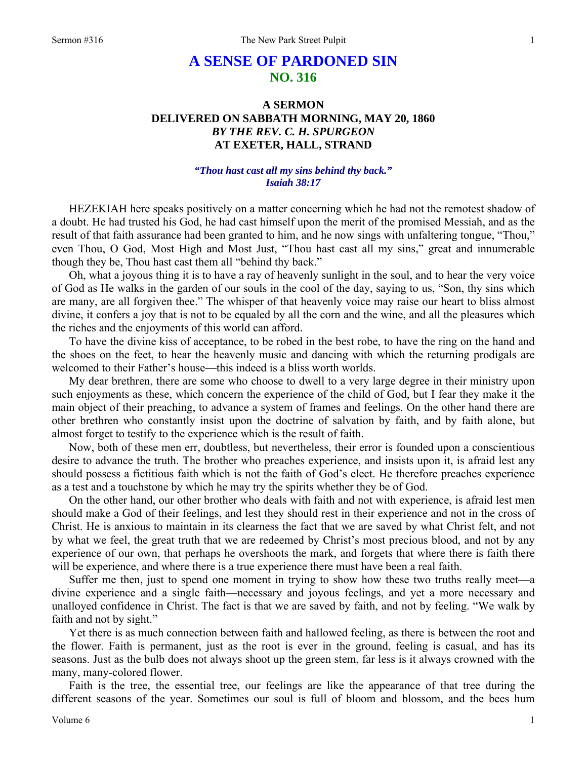## **A SENSE OF PARDONED SIN NO. 316**

## **A SERMON DELIVERED ON SABBATH MORNING, MAY 20, 1860**  *BY THE REV. C. H. SPURGEON*  **AT EXETER, HALL, STRAND**

## *"Thou hast cast all my sins behind thy back." Isaiah 38:17*

HEZEKIAH here speaks positively on a matter concerning which he had not the remotest shadow of a doubt. He had trusted his God, he had cast himself upon the merit of the promised Messiah, and as the result of that faith assurance had been granted to him, and he now sings with unfaltering tongue, "Thou," even Thou, O God, Most High and Most Just, "Thou hast cast all my sins," great and innumerable though they be, Thou hast cast them all "behind thy back."

Oh, what a joyous thing it is to have a ray of heavenly sunlight in the soul, and to hear the very voice of God as He walks in the garden of our souls in the cool of the day, saying to us, "Son, thy sins which are many, are all forgiven thee." The whisper of that heavenly voice may raise our heart to bliss almost divine, it confers a joy that is not to be equaled by all the corn and the wine, and all the pleasures which the riches and the enjoyments of this world can afford.

To have the divine kiss of acceptance, to be robed in the best robe, to have the ring on the hand and the shoes on the feet, to hear the heavenly music and dancing with which the returning prodigals are welcomed to their Father's house—this indeed is a bliss worth worlds.

My dear brethren, there are some who choose to dwell to a very large degree in their ministry upon such enjoyments as these, which concern the experience of the child of God, but I fear they make it the main object of their preaching, to advance a system of frames and feelings. On the other hand there are other brethren who constantly insist upon the doctrine of salvation by faith, and by faith alone, but almost forget to testify to the experience which is the result of faith.

Now, both of these men err, doubtless, but nevertheless, their error is founded upon a conscientious desire to advance the truth. The brother who preaches experience, and insists upon it, is afraid lest any should possess a fictitious faith which is not the faith of God's elect. He therefore preaches experience as a test and a touchstone by which he may try the spirits whether they be of God.

On the other hand, our other brother who deals with faith and not with experience, is afraid lest men should make a God of their feelings, and lest they should rest in their experience and not in the cross of Christ. He is anxious to maintain in its clearness the fact that we are saved by what Christ felt, and not by what we feel, the great truth that we are redeemed by Christ's most precious blood, and not by any experience of our own, that perhaps he overshoots the mark, and forgets that where there is faith there will be experience, and where there is a true experience there must have been a real faith.

Suffer me then, just to spend one moment in trying to show how these two truths really meet—a divine experience and a single faith—necessary and joyous feelings, and yet a more necessary and unalloyed confidence in Christ. The fact is that we are saved by faith, and not by feeling. "We walk by faith and not by sight."

Yet there is as much connection between faith and hallowed feeling, as there is between the root and the flower. Faith is permanent, just as the root is ever in the ground, feeling is casual, and has its seasons. Just as the bulb does not always shoot up the green stem, far less is it always crowned with the many, many-colored flower.

Faith is the tree, the essential tree, our feelings are like the appearance of that tree during the different seasons of the year. Sometimes our soul is full of bloom and blossom, and the bees hum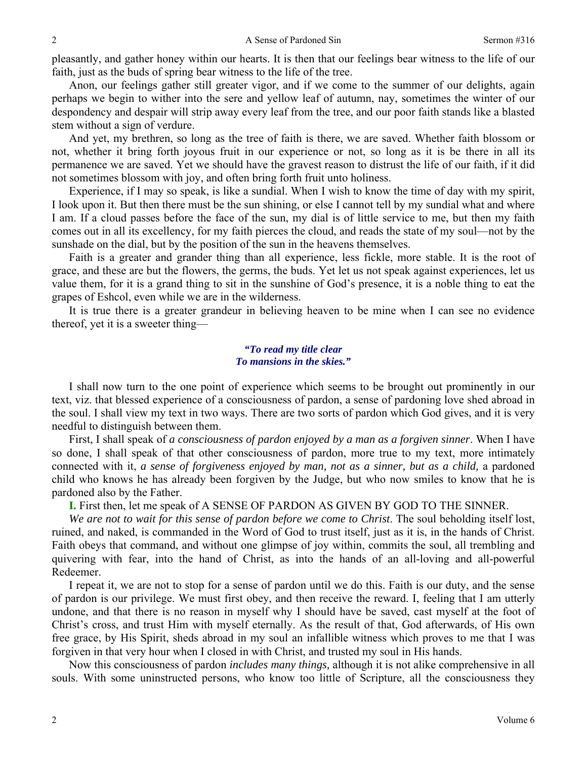pleasantly, and gather honey within our hearts. It is then that our feelings bear witness to the life of our faith, just as the buds of spring bear witness to the life of the tree.

Anon, our feelings gather still greater vigor, and if we come to the summer of our delights, again perhaps we begin to wither into the sere and yellow leaf of autumn, nay, sometimes the winter of our despondency and despair will strip away every leaf from the tree, and our poor faith stands like a blasted stem without a sign of verdure.

And yet, my brethren, so long as the tree of faith is there, we are saved. Whether faith blossom or not, whether it bring forth joyous fruit in our experience or not, so long as it is be there in all its permanence we are saved. Yet we should have the gravest reason to distrust the life of our faith, if it did not sometimes blossom with joy, and often bring forth fruit unto holiness.

Experience, if I may so speak, is like a sundial. When I wish to know the time of day with my spirit, I look upon it. But then there must be the sun shining, or else I cannot tell by my sundial what and where I am. If a cloud passes before the face of the sun, my dial is of little service to me, but then my faith comes out in all its excellency, for my faith pierces the cloud, and reads the state of my soul—not by the sunshade on the dial, but by the position of the sun in the heavens themselves.

Faith is a greater and grander thing than all experience, less fickle, more stable. It is the root of grace, and these are but the flowers, the germs, the buds. Yet let us not speak against experiences, let us value them, for it is a grand thing to sit in the sunshine of God's presence, it is a noble thing to eat the grapes of Eshcol, even while we are in the wilderness.

It is true there is a greater grandeur in believing heaven to be mine when I can see no evidence thereof, yet it is a sweeter thing—

## *"To read my title clear To mansions in the skies."*

I shall now turn to the one point of experience which seems to be brought out prominently in our text, viz. that blessed experience of a consciousness of pardon, a sense of pardoning love shed abroad in the soul. I shall view my text in two ways. There are two sorts of pardon which God gives, and it is very needful to distinguish between them.

First, I shall speak of *a consciousness of pardon enjoyed by a man as a forgiven sinner*. When I have so done, I shall speak of that other consciousness of pardon, more true to my text, more intimately connected with it, *a sense of forgiveness enjoyed by man, not as a sinner, but as a child,* a pardoned child who knows he has already been forgiven by the Judge, but who now smiles to know that he is pardoned also by the Father.

**I.** First then, let me speak of A SENSE OF PARDON AS GIVEN BY GOD TO THE SINNER.

We are not to wait for this sense of pardon before we come to Christ. The soul beholding itself lost, ruined, and naked, is commanded in the Word of God to trust itself, just as it is, in the hands of Christ. Faith obeys that command, and without one glimpse of joy within, commits the soul, all trembling and quivering with fear, into the hand of Christ, as into the hands of an all-loving and all-powerful Redeemer.

I repeat it, we are not to stop for a sense of pardon until we do this. Faith is our duty, and the sense of pardon is our privilege. We must first obey, and then receive the reward. I, feeling that I am utterly undone, and that there is no reason in myself why I should have be saved, cast myself at the foot of Christ's cross, and trust Him with myself eternally. As the result of that, God afterwards, of His own free grace, by His Spirit, sheds abroad in my soul an infallible witness which proves to me that I was forgiven in that very hour when I closed in with Christ, and trusted my soul in His hands.

Now this consciousness of pardon *includes many things,* although it is not alike comprehensive in all souls. With some uninstructed persons, who know too little of Scripture, all the consciousness they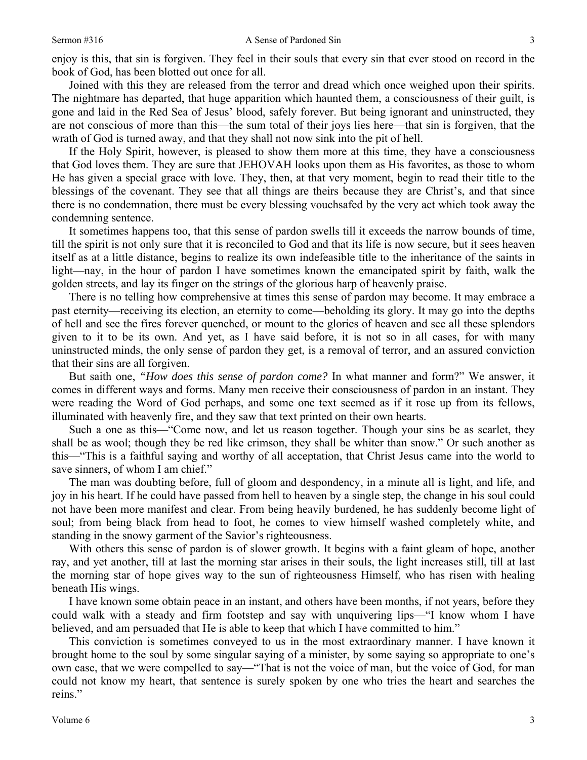enjoy is this, that sin is forgiven. They feel in their souls that every sin that ever stood on record in the book of God, has been blotted out once for all.

Joined with this they are released from the terror and dread which once weighed upon their spirits. The nightmare has departed, that huge apparition which haunted them, a consciousness of their guilt, is gone and laid in the Red Sea of Jesus' blood, safely forever. But being ignorant and uninstructed, they are not conscious of more than this—the sum total of their joys lies here—that sin is forgiven, that the wrath of God is turned away, and that they shall not now sink into the pit of hell.

If the Holy Spirit, however, is pleased to show them more at this time, they have a consciousness that God loves them. They are sure that JEHOVAH looks upon them as His favorites, as those to whom He has given a special grace with love. They, then, at that very moment, begin to read their title to the blessings of the covenant. They see that all things are theirs because they are Christ's, and that since there is no condemnation, there must be every blessing vouchsafed by the very act which took away the condemning sentence.

It sometimes happens too, that this sense of pardon swells till it exceeds the narrow bounds of time, till the spirit is not only sure that it is reconciled to God and that its life is now secure, but it sees heaven itself as at a little distance, begins to realize its own indefeasible title to the inheritance of the saints in light—nay, in the hour of pardon I have sometimes known the emancipated spirit by faith, walk the golden streets, and lay its finger on the strings of the glorious harp of heavenly praise.

There is no telling how comprehensive at times this sense of pardon may become. It may embrace a past eternity—receiving its election, an eternity to come—beholding its glory. It may go into the depths of hell and see the fires forever quenched, or mount to the glories of heaven and see all these splendors given to it to be its own. And yet, as I have said before, it is not so in all cases, for with many uninstructed minds, the only sense of pardon they get, is a removal of terror, and an assured conviction that their sins are all forgiven.

But saith one, *"How does this sense of pardon come?* In what manner and form?" We answer, it comes in different ways and forms. Many men receive their consciousness of pardon in an instant. They were reading the Word of God perhaps, and some one text seemed as if it rose up from its fellows, illuminated with heavenly fire, and they saw that text printed on their own hearts.

Such a one as this—"Come now, and let us reason together. Though your sins be as scarlet, they shall be as wool; though they be red like crimson, they shall be whiter than snow." Or such another as this—"This is a faithful saying and worthy of all acceptation, that Christ Jesus came into the world to save sinners, of whom I am chief."

The man was doubting before, full of gloom and despondency, in a minute all is light, and life, and joy in his heart. If he could have passed from hell to heaven by a single step, the change in his soul could not have been more manifest and clear. From being heavily burdened, he has suddenly become light of soul; from being black from head to foot, he comes to view himself washed completely white, and standing in the snowy garment of the Savior's righteousness.

With others this sense of pardon is of slower growth. It begins with a faint gleam of hope, another ray, and yet another, till at last the morning star arises in their souls, the light increases still, till at last the morning star of hope gives way to the sun of righteousness Himself, who has risen with healing beneath His wings.

I have known some obtain peace in an instant, and others have been months, if not years, before they could walk with a steady and firm footstep and say with unquivering lips—"I know whom I have believed, and am persuaded that He is able to keep that which I have committed to him."

This conviction is sometimes conveyed to us in the most extraordinary manner. I have known it brought home to the soul by some singular saying of a minister, by some saying so appropriate to one's own case, that we were compelled to say—"That is not the voice of man, but the voice of God, for man could not know my heart, that sentence is surely spoken by one who tries the heart and searches the reins."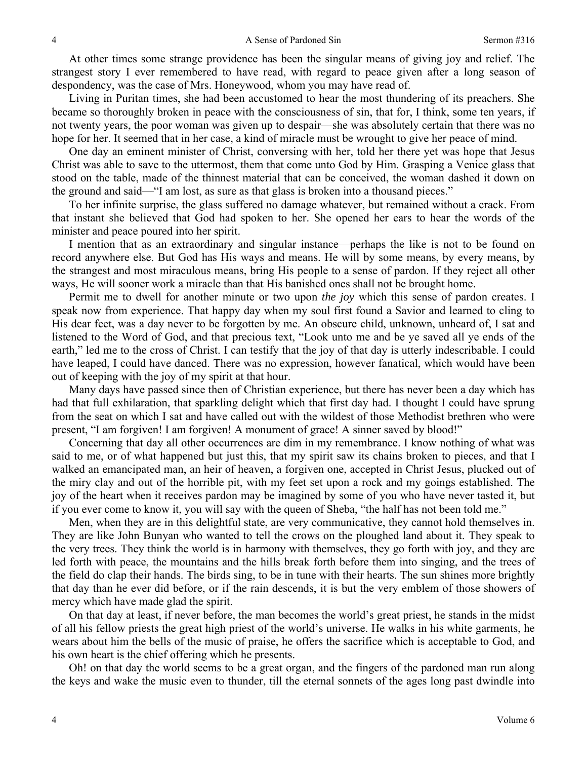At other times some strange providence has been the singular means of giving joy and relief. The strangest story I ever remembered to have read, with regard to peace given after a long season of despondency, was the case of Mrs. Honeywood, whom you may have read of.

Living in Puritan times, she had been accustomed to hear the most thundering of its preachers. She became so thoroughly broken in peace with the consciousness of sin, that for, I think, some ten years, if not twenty years, the poor woman was given up to despair—she was absolutely certain that there was no hope for her. It seemed that in her case, a kind of miracle must be wrought to give her peace of mind.

One day an eminent minister of Christ, conversing with her, told her there yet was hope that Jesus Christ was able to save to the uttermost, them that come unto God by Him. Grasping a Venice glass that stood on the table, made of the thinnest material that can be conceived, the woman dashed it down on the ground and said—"I am lost, as sure as that glass is broken into a thousand pieces."

To her infinite surprise, the glass suffered no damage whatever, but remained without a crack. From that instant she believed that God had spoken to her. She opened her ears to hear the words of the minister and peace poured into her spirit.

I mention that as an extraordinary and singular instance—perhaps the like is not to be found on record anywhere else. But God has His ways and means. He will by some means, by every means, by the strangest and most miraculous means, bring His people to a sense of pardon. If they reject all other ways, He will sooner work a miracle than that His banished ones shall not be brought home.

Permit me to dwell for another minute or two upon *the joy* which this sense of pardon creates. I speak now from experience. That happy day when my soul first found a Savior and learned to cling to His dear feet, was a day never to be forgotten by me. An obscure child, unknown, unheard of, I sat and listened to the Word of God, and that precious text, "Look unto me and be ye saved all ye ends of the earth," led me to the cross of Christ. I can testify that the joy of that day is utterly indescribable. I could have leaped, I could have danced. There was no expression, however fanatical, which would have been out of keeping with the joy of my spirit at that hour.

Many days have passed since then of Christian experience, but there has never been a day which has had that full exhilaration, that sparkling delight which that first day had. I thought I could have sprung from the seat on which I sat and have called out with the wildest of those Methodist brethren who were present, "I am forgiven! I am forgiven! A monument of grace! A sinner saved by blood!"

Concerning that day all other occurrences are dim in my remembrance. I know nothing of what was said to me, or of what happened but just this, that my spirit saw its chains broken to pieces, and that I walked an emancipated man, an heir of heaven, a forgiven one, accepted in Christ Jesus, plucked out of the miry clay and out of the horrible pit, with my feet set upon a rock and my goings established. The joy of the heart when it receives pardon may be imagined by some of you who have never tasted it, but if you ever come to know it, you will say with the queen of Sheba, "the half has not been told me."

Men, when they are in this delightful state, are very communicative, they cannot hold themselves in. They are like John Bunyan who wanted to tell the crows on the ploughed land about it. They speak to the very trees. They think the world is in harmony with themselves, they go forth with joy, and they are led forth with peace, the mountains and the hills break forth before them into singing, and the trees of the field do clap their hands. The birds sing, to be in tune with their hearts. The sun shines more brightly that day than he ever did before, or if the rain descends, it is but the very emblem of those showers of mercy which have made glad the spirit.

On that day at least, if never before, the man becomes the world's great priest, he stands in the midst of all his fellow priests the great high priest of the world's universe. He walks in his white garments, he wears about him the bells of the music of praise, he offers the sacrifice which is acceptable to God, and his own heart is the chief offering which he presents.

Oh! on that day the world seems to be a great organ, and the fingers of the pardoned man run along the keys and wake the music even to thunder, till the eternal sonnets of the ages long past dwindle into

4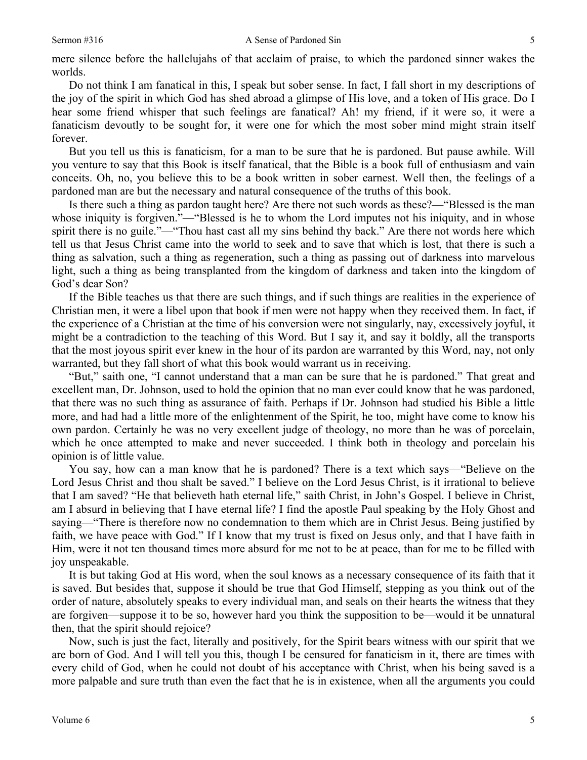mere silence before the hallelujahs of that acclaim of praise, to which the pardoned sinner wakes the worlds.

Do not think I am fanatical in this, I speak but sober sense. In fact, I fall short in my descriptions of the joy of the spirit in which God has shed abroad a glimpse of His love, and a token of His grace. Do I hear some friend whisper that such feelings are fanatical? Ah! my friend, if it were so, it were a fanaticism devoutly to be sought for, it were one for which the most sober mind might strain itself forever.

But you tell us this is fanaticism, for a man to be sure that he is pardoned. But pause awhile. Will you venture to say that this Book is itself fanatical, that the Bible is a book full of enthusiasm and vain conceits. Oh, no, you believe this to be a book written in sober earnest. Well then, the feelings of a pardoned man are but the necessary and natural consequence of the truths of this book.

Is there such a thing as pardon taught here? Are there not such words as these?—"Blessed is the man whose iniquity is forgiven."—"Blessed is he to whom the Lord imputes not his iniquity, and in whose spirit there is no guile."—"Thou hast cast all my sins behind thy back." Are there not words here which tell us that Jesus Christ came into the world to seek and to save that which is lost, that there is such a thing as salvation, such a thing as regeneration, such a thing as passing out of darkness into marvelous light, such a thing as being transplanted from the kingdom of darkness and taken into the kingdom of God's dear Son?

If the Bible teaches us that there are such things, and if such things are realities in the experience of Christian men, it were a libel upon that book if men were not happy when they received them. In fact, if the experience of a Christian at the time of his conversion were not singularly, nay, excessively joyful, it might be a contradiction to the teaching of this Word. But I say it, and say it boldly, all the transports that the most joyous spirit ever knew in the hour of its pardon are warranted by this Word, nay, not only warranted, but they fall short of what this book would warrant us in receiving.

"But," saith one, "I cannot understand that a man can be sure that he is pardoned." That great and excellent man, Dr. Johnson, used to hold the opinion that no man ever could know that he was pardoned, that there was no such thing as assurance of faith. Perhaps if Dr. Johnson had studied his Bible a little more, and had had a little more of the enlightenment of the Spirit, he too, might have come to know his own pardon. Certainly he was no very excellent judge of theology, no more than he was of porcelain, which he once attempted to make and never succeeded. I think both in theology and porcelain his opinion is of little value.

You say, how can a man know that he is pardoned? There is a text which says—"Believe on the Lord Jesus Christ and thou shalt be saved." I believe on the Lord Jesus Christ, is it irrational to believe that I am saved? "He that believeth hath eternal life," saith Christ, in John's Gospel. I believe in Christ, am I absurd in believing that I have eternal life? I find the apostle Paul speaking by the Holy Ghost and saying—"There is therefore now no condemnation to them which are in Christ Jesus. Being justified by faith, we have peace with God." If I know that my trust is fixed on Jesus only, and that I have faith in Him, were it not ten thousand times more absurd for me not to be at peace, than for me to be filled with joy unspeakable.

It is but taking God at His word, when the soul knows as a necessary consequence of its faith that it is saved. But besides that, suppose it should be true that God Himself, stepping as you think out of the order of nature, absolutely speaks to every individual man, and seals on their hearts the witness that they are forgiven—suppose it to be so, however hard you think the supposition to be—would it be unnatural then, that the spirit should rejoice?

Now, such is just the fact, literally and positively, for the Spirit bears witness with our spirit that we are born of God. And I will tell you this, though I be censured for fanaticism in it, there are times with every child of God, when he could not doubt of his acceptance with Christ, when his being saved is a more palpable and sure truth than even the fact that he is in existence, when all the arguments you could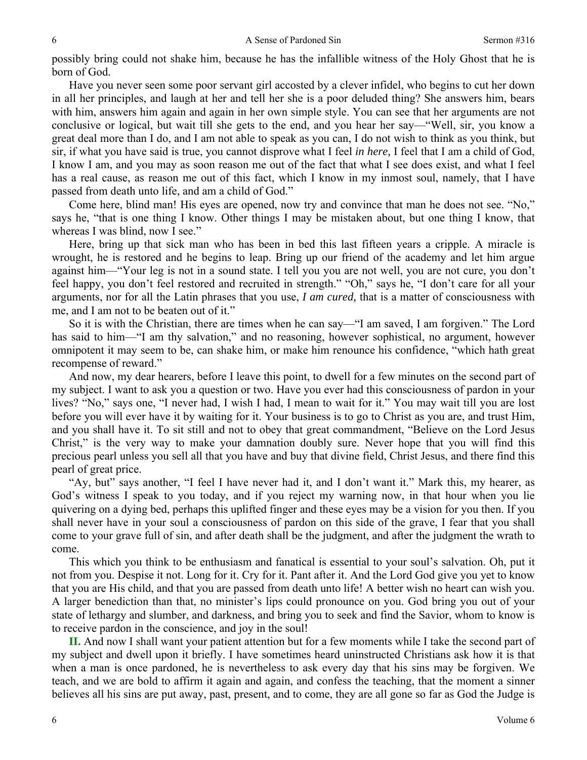possibly bring could not shake him, because he has the infallible witness of the Holy Ghost that he is born of God.

Have you never seen some poor servant girl accosted by a clever infidel, who begins to cut her down in all her principles, and laugh at her and tell her she is a poor deluded thing? She answers him, bears with him, answers him again and again in her own simple style. You can see that her arguments are not conclusive or logical, but wait till she gets to the end, and you hear her say—"Well, sir, you know a great deal more than I do, and I am not able to speak as you can, I do not wish to think as you think, but sir, if what you have said is true, you cannot disprove what I feel *in here,* I feel that I am a child of God, I know I am, and you may as soon reason me out of the fact that what I see does exist, and what I feel has a real cause, as reason me out of this fact, which I know in my inmost soul, namely, that I have passed from death unto life, and am a child of God."

Come here, blind man! His eyes are opened, now try and convince that man he does not see. "No," says he, "that is one thing I know. Other things I may be mistaken about, but one thing I know, that whereas I was blind, now I see."

Here, bring up that sick man who has been in bed this last fifteen years a cripple. A miracle is wrought, he is restored and he begins to leap. Bring up our friend of the academy and let him argue against him—"Your leg is not in a sound state. I tell you you are not well, you are not cure, you don't feel happy, you don't feel restored and recruited in strength." "Oh," says he, "I don't care for all your arguments, nor for all the Latin phrases that you use, *I am cured,* that is a matter of consciousness with me, and I am not to be beaten out of it."

So it is with the Christian, there are times when he can say—"I am saved, I am forgiven." The Lord has said to him—"I am thy salvation," and no reasoning, however sophistical, no argument, however omnipotent it may seem to be, can shake him, or make him renounce his confidence, "which hath great recompense of reward."

And now, my dear hearers, before I leave this point, to dwell for a few minutes on the second part of my subject. I want to ask you a question or two. Have you ever had this consciousness of pardon in your lives? "No," says one, "I never had, I wish I had, I mean to wait for it." You may wait till you are lost before you will ever have it by waiting for it. Your business is to go to Christ as you are, and trust Him, and you shall have it. To sit still and not to obey that great commandment, "Believe on the Lord Jesus Christ," is the very way to make your damnation doubly sure. Never hope that you will find this precious pearl unless you sell all that you have and buy that divine field, Christ Jesus, and there find this pearl of great price.

"Ay, but" says another, "I feel I have never had it, and I don't want it." Mark this, my hearer, as God's witness I speak to you today, and if you reject my warning now, in that hour when you lie quivering on a dying bed, perhaps this uplifted finger and these eyes may be a vision for you then. If you shall never have in your soul a consciousness of pardon on this side of the grave, I fear that you shall come to your grave full of sin, and after death shall be the judgment, and after the judgment the wrath to come.

This which you think to be enthusiasm and fanatical is essential to your soul's salvation. Oh, put it not from you. Despise it not. Long for it. Cry for it. Pant after it. And the Lord God give you yet to know that you are His child, and that you are passed from death unto life! A better wish no heart can wish you. A larger benediction than that, no minister's lips could pronounce on you. God bring you out of your state of lethargy and slumber, and darkness, and bring you to seek and find the Savior, whom to know is to receive pardon in the conscience, and joy in the soul!

**II.** And now I shall want your patient attention but for a few moments while I take the second part of my subject and dwell upon it briefly. I have sometimes heard uninstructed Christians ask how it is that when a man is once pardoned, he is nevertheless to ask every day that his sins may be forgiven. We teach, and we are bold to affirm it again and again, and confess the teaching, that the moment a sinner believes all his sins are put away, past, present, and to come, they are all gone so far as God the Judge is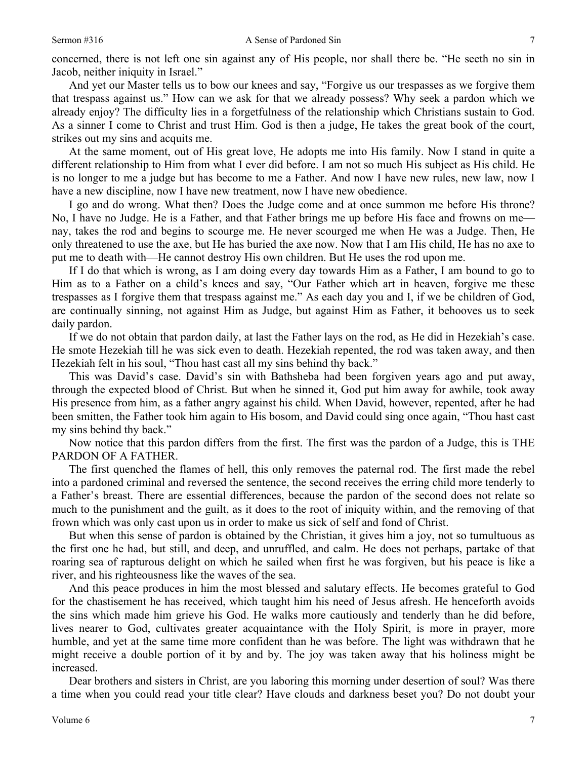concerned, there is not left one sin against any of His people, nor shall there be. "He seeth no sin in Jacob, neither iniquity in Israel."

And yet our Master tells us to bow our knees and say, "Forgive us our trespasses as we forgive them that trespass against us." How can we ask for that we already possess? Why seek a pardon which we already enjoy? The difficulty lies in a forgetfulness of the relationship which Christians sustain to God. As a sinner I come to Christ and trust Him. God is then a judge, He takes the great book of the court, strikes out my sins and acquits me.

At the same moment, out of His great love, He adopts me into His family. Now I stand in quite a different relationship to Him from what I ever did before. I am not so much His subject as His child. He is no longer to me a judge but has become to me a Father. And now I have new rules, new law, now I have a new discipline, now I have new treatment, now I have new obedience.

I go and do wrong. What then? Does the Judge come and at once summon me before His throne? No, I have no Judge. He is a Father, and that Father brings me up before His face and frowns on me nay, takes the rod and begins to scourge me. He never scourged me when He was a Judge. Then, He only threatened to use the axe, but He has buried the axe now. Now that I am His child, He has no axe to put me to death with—He cannot destroy His own children. But He uses the rod upon me.

If I do that which is wrong, as I am doing every day towards Him as a Father, I am bound to go to Him as to a Father on a child's knees and say, "Our Father which art in heaven, forgive me these trespasses as I forgive them that trespass against me." As each day you and I, if we be children of God, are continually sinning, not against Him as Judge, but against Him as Father, it behooves us to seek daily pardon.

If we do not obtain that pardon daily, at last the Father lays on the rod, as He did in Hezekiah's case. He smote Hezekiah till he was sick even to death. Hezekiah repented, the rod was taken away, and then Hezekiah felt in his soul, "Thou hast cast all my sins behind thy back."

This was David's case. David's sin with Bathsheba had been forgiven years ago and put away, through the expected blood of Christ. But when he sinned it, God put him away for awhile, took away His presence from him, as a father angry against his child. When David, however, repented, after he had been smitten, the Father took him again to His bosom, and David could sing once again, "Thou hast cast my sins behind thy back."

Now notice that this pardon differs from the first. The first was the pardon of a Judge, this is THE PARDON OF A FATHER.

The first quenched the flames of hell, this only removes the paternal rod. The first made the rebel into a pardoned criminal and reversed the sentence, the second receives the erring child more tenderly to a Father's breast. There are essential differences, because the pardon of the second does not relate so much to the punishment and the guilt, as it does to the root of iniquity within, and the removing of that frown which was only cast upon us in order to make us sick of self and fond of Christ.

But when this sense of pardon is obtained by the Christian, it gives him a joy, not so tumultuous as the first one he had, but still, and deep, and unruffled, and calm. He does not perhaps, partake of that roaring sea of rapturous delight on which he sailed when first he was forgiven, but his peace is like a river, and his righteousness like the waves of the sea.

And this peace produces in him the most blessed and salutary effects. He becomes grateful to God for the chastisement he has received, which taught him his need of Jesus afresh. He henceforth avoids the sins which made him grieve his God. He walks more cautiously and tenderly than he did before, lives nearer to God, cultivates greater acquaintance with the Holy Spirit, is more in prayer, more humble, and yet at the same time more confident than he was before. The light was withdrawn that he might receive a double portion of it by and by. The joy was taken away that his holiness might be increased.

Dear brothers and sisters in Christ, are you laboring this morning under desertion of soul? Was there a time when you could read your title clear? Have clouds and darkness beset you? Do not doubt your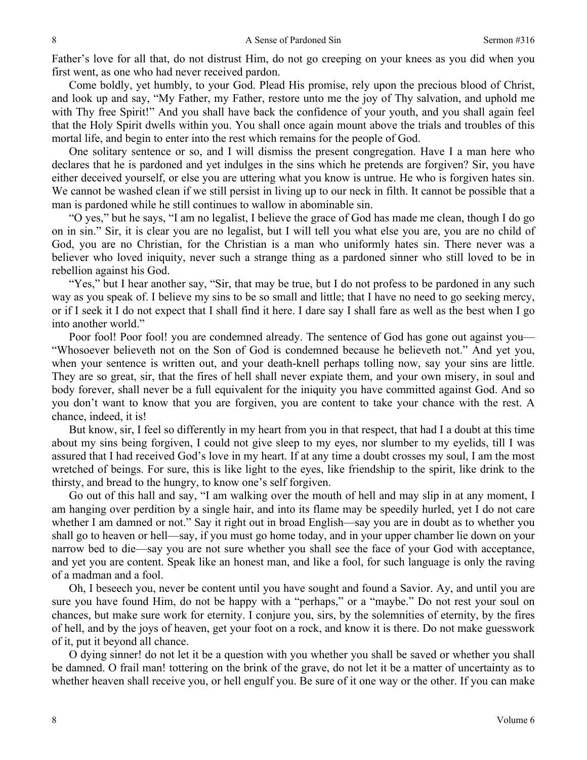Father's love for all that, do not distrust Him, do not go creeping on your knees as you did when you first went, as one who had never received pardon.

Come boldly, yet humbly, to your God. Plead His promise, rely upon the precious blood of Christ, and look up and say, "My Father, my Father, restore unto me the joy of Thy salvation, and uphold me with Thy free Spirit!" And you shall have back the confidence of your youth, and you shall again feel that the Holy Spirit dwells within you. You shall once again mount above the trials and troubles of this mortal life, and begin to enter into the rest which remains for the people of God.

One solitary sentence or so, and I will dismiss the present congregation. Have I a man here who declares that he is pardoned and yet indulges in the sins which he pretends are forgiven? Sir, you have either deceived yourself, or else you are uttering what you know is untrue. He who is forgiven hates sin. We cannot be washed clean if we still persist in living up to our neck in filth. It cannot be possible that a man is pardoned while he still continues to wallow in abominable sin.

"O yes," but he says, "I am no legalist, I believe the grace of God has made me clean, though I do go on in sin." Sir, it is clear you are no legalist, but I will tell you what else you are, you are no child of God, you are no Christian, for the Christian is a man who uniformly hates sin. There never was a believer who loved iniquity, never such a strange thing as a pardoned sinner who still loved to be in rebellion against his God.

"Yes," but I hear another say, "Sir, that may be true, but I do not profess to be pardoned in any such way as you speak of. I believe my sins to be so small and little; that I have no need to go seeking mercy, or if I seek it I do not expect that I shall find it here. I dare say I shall fare as well as the best when I go into another world."

Poor fool! Poor fool! you are condemned already. The sentence of God has gone out against you— "Whosoever believeth not on the Son of God is condemned because he believeth not." And yet you, when your sentence is written out, and your death-knell perhaps tolling now, say your sins are little. They are so great, sir, that the fires of hell shall never expiate them, and your own misery, in soul and body forever, shall never be a full equivalent for the iniquity you have committed against God. And so you don't want to know that you are forgiven, you are content to take your chance with the rest. A chance, indeed, it is!

But know, sir, I feel so differently in my heart from you in that respect, that had I a doubt at this time about my sins being forgiven, I could not give sleep to my eyes, nor slumber to my eyelids, till I was assured that I had received God's love in my heart. If at any time a doubt crosses my soul, I am the most wretched of beings. For sure, this is like light to the eyes, like friendship to the spirit, like drink to the thirsty, and bread to the hungry, to know one's self forgiven.

Go out of this hall and say, "I am walking over the mouth of hell and may slip in at any moment, I am hanging over perdition by a single hair, and into its flame may be speedily hurled, yet I do not care whether I am damned or not." Say it right out in broad English—say you are in doubt as to whether you shall go to heaven or hell—say, if you must go home today, and in your upper chamber lie down on your narrow bed to die—say you are not sure whether you shall see the face of your God with acceptance, and yet you are content. Speak like an honest man, and like a fool, for such language is only the raving of a madman and a fool.

Oh, I beseech you, never be content until you have sought and found a Savior. Ay, and until you are sure you have found Him, do not be happy with a "perhaps," or a "maybe." Do not rest your soul on chances, but make sure work for eternity. I conjure you, sirs, by the solemnities of eternity, by the fires of hell, and by the joys of heaven, get your foot on a rock, and know it is there. Do not make guesswork of it, put it beyond all chance.

O dying sinner! do not let it be a question with you whether you shall be saved or whether you shall be damned. O frail man! tottering on the brink of the grave, do not let it be a matter of uncertainty as to whether heaven shall receive you, or hell engulf you. Be sure of it one way or the other. If you can make